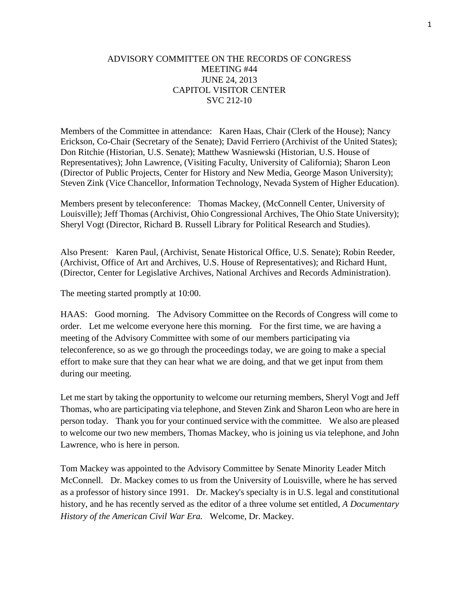## ADVISORY COMMITTEE ON THE RECORDS OF CONGRESS MEETING #44 JUNE 24, 2013 CAPITOL VISITOR CENTER SVC 212-10

Members of the Committee in attendance: Karen Haas, Chair (Clerk of the House); Nancy Erickson, Co-Chair (Secretary of the Senate); David Ferriero (Archivist of the United States); Don Ritchie (Historian, U.S. Senate); Matthew Wasniewski (Historian, U.S. House of Representatives); John Lawrence, (Visiting Faculty, University of California); Sharon Leon (Director of Public Projects, Center for History and New Media, George Mason University); Steven Zink (Vice Chancellor, Information Technology, Nevada System of Higher Education).

Members present by teleconference: Thomas Mackey, (McConnell Center, University of Louisville); Jeff Thomas (Archivist, Ohio Congressional Archives, The Ohio State University); Sheryl Vogt (Director, Richard B. Russell Library for Political Research and Studies).

Also Present: Karen Paul, (Archivist, Senate Historical Office, U.S. Senate); Robin Reeder, (Archivist, Office of Art and Archives, U.S. House of Representatives); and Richard Hunt, (Director, Center for Legislative Archives, National Archives and Records Administration).

The meeting started promptly at 10:00.

HAAS: Good morning. The Advisory Committee on the Records of Congress will come to order. Let me welcome everyone here this morning. For the first time, we are having a meeting of the Advisory Committee with some of our members participating via teleconference, so as we go through the proceedings today, we are going to make a special effort to make sure that they can hear what we are doing, and that we get input from them during our meeting.

Let me start by taking the opportunity to welcome our returning members, Sheryl Vogt and Jeff Thomas, who are participating via telephone, and Steven Zink and Sharon Leon who are here in person today. Thank you for your continued service with the committee. We also are pleased to welcome our two new members, Thomas Mackey, who is joining us via telephone, and John Lawrence, who is here in person.

Tom Mackey was appointed to the Advisory Committee by Senate Minority Leader Mitch McConnell. Dr. Mackey comes to us from the University of Louisville, where he has served as a professor of history since 1991. Dr. Mackey's specialty is in U.S. legal and constitutional history, and he has recently served as the editor of a three volume set entitled, *A Documentary History of the American Civil War Era.* Welcome, Dr. Mackey.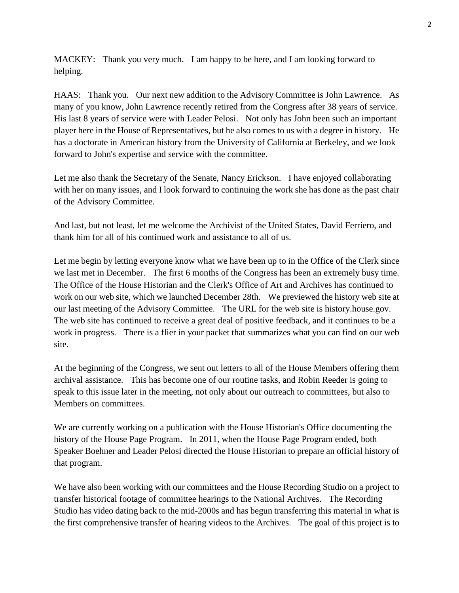MACKEY: Thank you very much. I am happy to be here, and I am looking forward to helping.

HAAS: Thank you. Our next new addition to the Advisory Committee is John Lawrence. As many of you know, John Lawrence recently retired from the Congress after 38 years of service. His last 8 years of service were with Leader Pelosi. Not only has John been such an important player here in the House of Representatives, but he also comes to us with a degree in history. He has a doctorate in American history from the University of California at Berkeley, and we look forward to John's expertise and service with the committee.

Let me also thank the Secretary of the Senate, Nancy Erickson. I have enjoyed collaborating with her on many issues, and I look forward to continuing the work she has done as the past chair of the Advisory Committee.

And last, but not least, let me welcome the Archivist of the United States, David Ferriero, and thank him for all of his continued work and assistance to all of us.

Let me begin by letting everyone know what we have been up to in the Office of the Clerk since we last met in December. The first 6 months of the Congress has been an extremely busy time. The Office of the House Historian and the Clerk's Office of Art and Archives has continued to work on our web site, which we launched December 28th. We previewed the history web site at our last meeting of the Advisory Committee. The URL for the web site is history.house.gov. The web site has continued to receive a great deal of positive feedback, and it continues to be a work in progress. There is a flier in your packet that summarizes what you can find on our web site.

At the beginning of the Congress, we sent out letters to all of the House Members offering them archival assistance. This has become one of our routine tasks, and Robin Reeder is going to speak to this issue later in the meeting, not only about our outreach to committees, but also to Members on committees.

We are currently working on a publication with the House Historian's Office documenting the history of the House Page Program. In 2011, when the House Page Program ended, both Speaker Boehner and Leader Pelosi directed the House Historian to prepare an official history of that program.

We have also been working with our committees and the House Recording Studio on a project to transfer historical footage of committee hearings to the National Archives. The Recording Studio has video dating back to the mid-2000s and has begun transferring this material in what is the first comprehensive transfer of hearing videos to the Archives. The goal of this project is to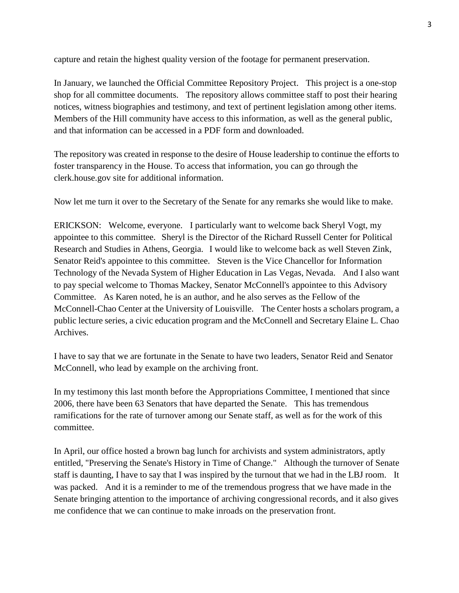capture and retain the highest quality version of the footage for permanent preservation.

In January, we launched the Official Committee Repository Project. This project is a one-stop shop for all committee documents. The repository allows committee staff to post their hearing notices, witness biographies and testimony, and text of pertinent legislation among other items. Members of the Hill community have access to this information, as well as the general public, and that information can be accessed in a PDF form and downloaded.

The repository was created in response to the desire of House leadership to continue the efforts to foster transparency in the House. To access that information, you can go through the clerk.house.gov site for additional information.

Now let me turn it over to the Secretary of the Senate for any remarks she would like to make.

ERICKSON: Welcome, everyone. I particularly want to welcome back Sheryl Vogt, my appointee to this committee. Sheryl is the Director of the Richard Russell Center for Political Research and Studies in Athens, Georgia. I would like to welcome back as well Steven Zink, Senator Reid's appointee to this committee. Steven is the Vice Chancellor for Information Technology of the Nevada System of Higher Education in Las Vegas, Nevada. And I also want to pay special welcome to Thomas Mackey, Senator McConnell's appointee to this Advisory Committee. As Karen noted, he is an author, and he also serves as the Fellow of the McConnell-Chao Center at the University of Louisville. The Center hosts a scholars program, a public lecture series, a civic education program and the McConnell and Secretary Elaine L. Chao Archives.

I have to say that we are fortunate in the Senate to have two leaders, Senator Reid and Senator McConnell, who lead by example on the archiving front.

In my testimony this last month before the Appropriations Committee, I mentioned that since 2006, there have been 63 Senators that have departed the Senate. This has tremendous ramifications for the rate of turnover among our Senate staff, as well as for the work of this committee.

In April, our office hosted a brown bag lunch for archivists and system administrators, aptly entitled, "Preserving the Senate's History in Time of Change." Although the turnover of Senate staff is daunting, I have to say that I was inspired by the turnout that we had in the LBJ room. It was packed. And it is a reminder to me of the tremendous progress that we have made in the Senate bringing attention to the importance of archiving congressional records, and it also gives me confidence that we can continue to make inroads on the preservation front.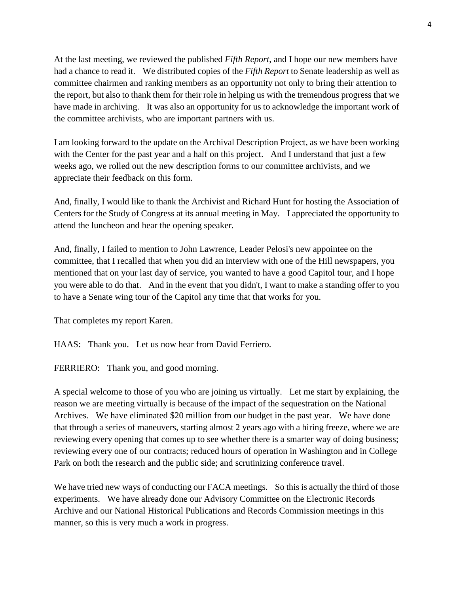At the last meeting, we reviewed the published *Fifth Report*, and I hope our new members have had a chance to read it. We distributed copies of the *Fifth Report* to Senate leadership as well as committee chairmen and ranking members as an opportunity not only to bring their attention to the report, but also to thank them for their role in helping us with the tremendous progress that we have made in archiving. It was also an opportunity for us to acknowledge the important work of the committee archivists, who are important partners with us.

I am looking forward to the update on the Archival Description Project, as we have been working with the Center for the past year and a half on this project. And I understand that just a few weeks ago, we rolled out the new description forms to our committee archivists, and we appreciate their feedback on this form.

And, finally, I would like to thank the Archivist and Richard Hunt for hosting the Association of Centers for the Study of Congress at its annual meeting in May. I appreciated the opportunity to attend the luncheon and hear the opening speaker.

And, finally, I failed to mention to John Lawrence, Leader Pelosi's new appointee on the committee, that I recalled that when you did an interview with one of the Hill newspapers, you mentioned that on your last day of service, you wanted to have a good Capitol tour, and I hope you were able to do that. And in the event that you didn't, I want to make a standing offer to you to have a Senate wing tour of the Capitol any time that that works for you.

That completes my report Karen.

HAAS: Thank you. Let us now hear from David Ferriero.

FERRIERO: Thank you, and good morning.

A special welcome to those of you who are joining us virtually. Let me start by explaining, the reason we are meeting virtually is because of the impact of the sequestration on the National Archives. We have eliminated \$20 million from our budget in the past year. We have done that through a series of maneuvers, starting almost 2 years ago with a hiring freeze, where we are reviewing every opening that comes up to see whether there is a smarter way of doing business; reviewing every one of our contracts; reduced hours of operation in Washington and in College Park on both the research and the public side; and scrutinizing conference travel.

We have tried new ways of conducting our FACA meetings. So this is actually the third of those experiments. We have already done our Advisory Committee on the Electronic Records Archive and our National Historical Publications and Records Commission meetings in this manner, so this is very much a work in progress.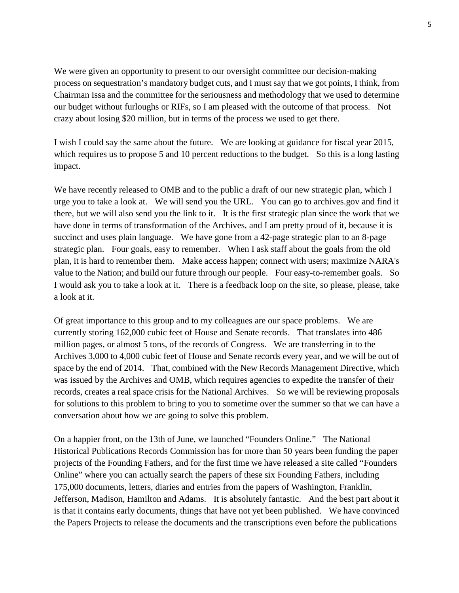We were given an opportunity to present to our oversight committee our decision-making process on sequestration's mandatory budget cuts, and I must say that we got points, I think, from Chairman Issa and the committee for the seriousness and methodology that we used to determine our budget without furloughs or RIFs, so I am pleased with the outcome of that process. Not crazy about losing \$20 million, but in terms of the process we used to get there.

I wish I could say the same about the future. We are looking at guidance for fiscal year 2015, which requires us to propose 5 and 10 percent reductions to the budget. So this is a long lasting impact.

We have recently released to OMB and to the public a draft of our new strategic plan, which I urge you to take a look at. We will send you the URL. You can go to archives.gov and find it there, but we will also send you the link to it. It is the first strategic plan since the work that we have done in terms of transformation of the Archives, and I am pretty proud of it, because it is succinct and uses plain language. We have gone from a 42-page strategic plan to an 8-page strategic plan. Four goals, easy to remember. When I ask staff about the goals from the old plan, it is hard to remember them. Make access happen; connect with users; maximize NARA's value to the Nation; and build our future through our people. Four easy-to-remember goals. So I would ask you to take a look at it. There is a feedback loop on the site, so please, please, take a look at it.

Of great importance to this group and to my colleagues are our space problems. We are currently storing 162,000 cubic feet of House and Senate records. That translates into 486 million pages, or almost 5 tons, of the records of Congress. We are transferring in to the Archives 3,000 to 4,000 cubic feet of House and Senate records every year, and we will be out of space by the end of 2014. That, combined with the New Records Management Directive, which was issued by the Archives and OMB, which requires agencies to expedite the transfer of their records, creates a real space crisis for the National Archives. So we will be reviewing proposals for solutions to this problem to bring to you to sometime over the summer so that we can have a conversation about how we are going to solve this problem.

On a happier front, on the 13th of June, we launched "Founders Online." The National Historical Publications Records Commission has for more than 50 years been funding the paper projects of the Founding Fathers, and for the first time we have released a site called "Founders Online" where you can actually search the papers of these six Founding Fathers, including 175,000 documents, letters, diaries and entries from the papers of Washington, Franklin, Jefferson, Madison, Hamilton and Adams. It is absolutely fantastic. And the best part about it is that it contains early documents, things that have not yet been published. We have convinced the Papers Projects to release the documents and the transcriptions even before the publications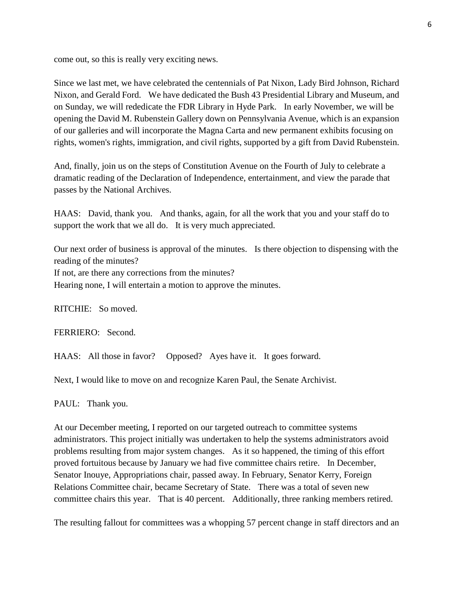come out, so this is really very exciting news.

Since we last met, we have celebrated the centennials of Pat Nixon, Lady Bird Johnson, Richard Nixon, and Gerald Ford. We have dedicated the Bush 43 Presidential Library and Museum, and on Sunday, we will rededicate the FDR Library in Hyde Park. In early November, we will be opening the David M. Rubenstein Gallery down on Pennsylvania Avenue, which is an expansion of our galleries and will incorporate the Magna Carta and new permanent exhibits focusing on rights, women's rights, immigration, and civil rights, supported by a gift from David Rubenstein.

And, finally, join us on the steps of Constitution Avenue on the Fourth of July to celebrate a dramatic reading of the Declaration of Independence, entertainment, and view the parade that passes by the National Archives.

HAAS: David, thank you. And thanks, again, for all the work that you and your staff do to support the work that we all do. It is very much appreciated.

Our next order of business is approval of the minutes. Is there objection to dispensing with the reading of the minutes?

If not, are there any corrections from the minutes?

Hearing none, I will entertain a motion to approve the minutes.

RITCHIE: So moved.

FERRIERO: Second.

HAAS: All those in favor? Opposed? Ayes have it. It goes forward.

Next, I would like to move on and recognize Karen Paul, the Senate Archivist.

PAUL: Thank you.

At our December meeting, I reported on our targeted outreach to committee systems administrators. This project initially was undertaken to help the systems administrators avoid problems resulting from major system changes. As it so happened, the timing of this effort proved fortuitous because by January we had five committee chairs retire. In December, Senator Inouye, Appropriations chair, passed away. In February, Senator Kerry, Foreign Relations Committee chair, became Secretary of State. There was a total of seven new committee chairs this year. That is 40 percent. Additionally, three ranking members retired.

The resulting fallout for committees was a whopping 57 percent change in staff directors and an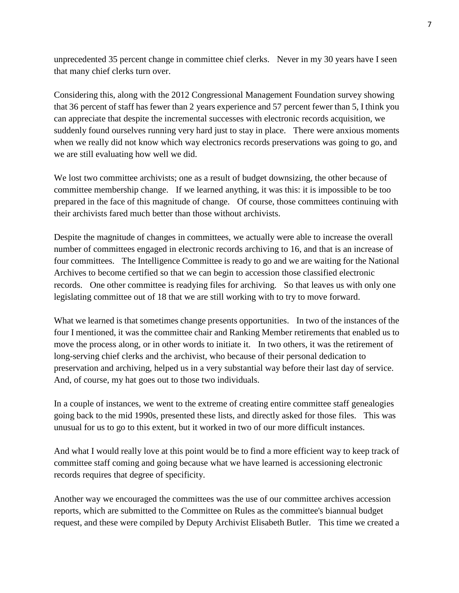unprecedented 35 percent change in committee chief clerks. Never in my 30 years have I seen that many chief clerks turn over.

Considering this, along with the 2012 Congressional Management Foundation survey showing that 36 percent of staff has fewer than 2 years experience and 57 percent fewer than 5, I think you can appreciate that despite the incremental successes with electronic records acquisition, we suddenly found ourselves running very hard just to stay in place. There were anxious moments when we really did not know which way electronics records preservations was going to go, and we are still evaluating how well we did.

We lost two committee archivists; one as a result of budget downsizing, the other because of committee membership change. If we learned anything, it was this: it is impossible to be too prepared in the face of this magnitude of change. Of course, those committees continuing with their archivists fared much better than those without archivists.

Despite the magnitude of changes in committees, we actually were able to increase the overall number of committees engaged in electronic records archiving to 16, and that is an increase of four committees. The Intelligence Committee is ready to go and we are waiting for the National Archives to become certified so that we can begin to accession those classified electronic records. One other committee is readying files for archiving. So that leaves us with only one legislating committee out of 18 that we are still working with to try to move forward.

What we learned is that sometimes change presents opportunities. In two of the instances of the four I mentioned, it was the committee chair and Ranking Member retirements that enabled us to move the process along, or in other words to initiate it. In two others, it was the retirement of long-serving chief clerks and the archivist, who because of their personal dedication to preservation and archiving, helped us in a very substantial way before their last day of service. And, of course, my hat goes out to those two individuals.

In a couple of instances, we went to the extreme of creating entire committee staff genealogies going back to the mid 1990s, presented these lists, and directly asked for those files. This was unusual for us to go to this extent, but it worked in two of our more difficult instances.

And what I would really love at this point would be to find a more efficient way to keep track of committee staff coming and going because what we have learned is accessioning electronic records requires that degree of specificity.

Another way we encouraged the committees was the use of our committee archives accession reports, which are submitted to the Committee on Rules as the committee's biannual budget request, and these were compiled by Deputy Archivist Elisabeth Butler. This time we created a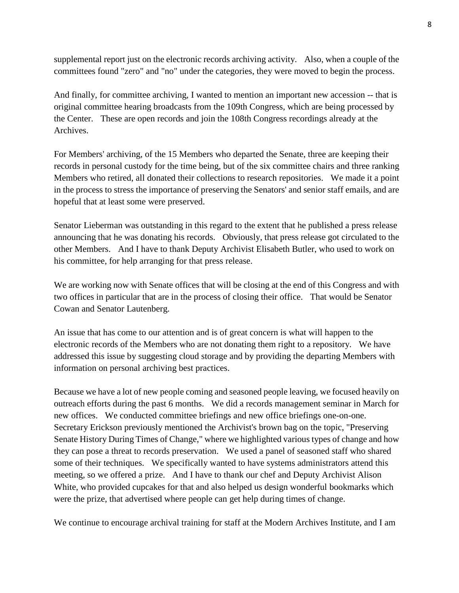supplemental report just on the electronic records archiving activity. Also, when a couple of the committees found "zero" and "no" under the categories, they were moved to begin the process.

And finally, for committee archiving, I wanted to mention an important new accession -- that is original committee hearing broadcasts from the 109th Congress, which are being processed by the Center. These are open records and join the 108th Congress recordings already at the Archives.

For Members' archiving, of the 15 Members who departed the Senate, three are keeping their records in personal custody for the time being, but of the six committee chairs and three ranking Members who retired, all donated their collections to research repositories. We made it a point in the process to stress the importance of preserving the Senators' and senior staff emails, and are hopeful that at least some were preserved.

Senator Lieberman was outstanding in this regard to the extent that he published a press release announcing that he was donating his records. Obviously, that press release got circulated to the other Members. And I have to thank Deputy Archivist Elisabeth Butler, who used to work on his committee, for help arranging for that press release.

We are working now with Senate offices that will be closing at the end of this Congress and with two offices in particular that are in the process of closing their office. That would be Senator Cowan and Senator Lautenberg.

An issue that has come to our attention and is of great concern is what will happen to the electronic records of the Members who are not donating them right to a repository. We have addressed this issue by suggesting cloud storage and by providing the departing Members with information on personal archiving best practices.

Because we have a lot of new people coming and seasoned people leaving, we focused heavily on outreach efforts during the past 6 months. We did a records management seminar in March for new offices. We conducted committee briefings and new office briefings one-on-one. Secretary Erickson previously mentioned the Archivist's brown bag on the topic, "Preserving Senate History During Times of Change," where we highlighted various types of change and how they can pose a threat to records preservation. We used a panel of seasoned staff who shared some of their techniques. We specifically wanted to have systems administrators attend this meeting, so we offered a prize. And I have to thank our chef and Deputy Archivist Alison White, who provided cupcakes for that and also helped us design wonderful bookmarks which were the prize, that advertised where people can get help during times of change.

We continue to encourage archival training for staff at the Modern Archives Institute, and I am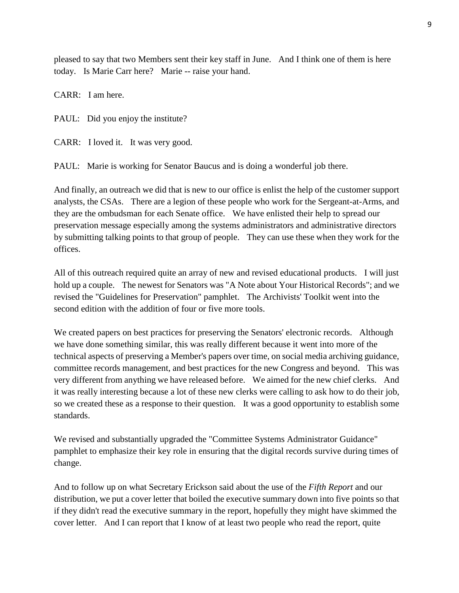pleased to say that two Members sent their key staff in June. And I think one of them is here today. Is Marie Carr here? Marie -- raise your hand.

CARR: I am here.

PAUL: Did you enjoy the institute?

CARR: I loved it. It was very good.

PAUL: Marie is working for Senator Baucus and is doing a wonderful job there.

And finally, an outreach we did that is new to our office is enlist the help of the customer support analysts, the CSAs. There are a legion of these people who work for the Sergeant-at-Arms, and they are the ombudsman for each Senate office. We have enlisted their help to spread our preservation message especially among the systems administrators and administrative directors by submitting talking points to that group of people. They can use these when they work for the offices.

All of this outreach required quite an array of new and revised educational products. I will just hold up a couple. The newest for Senators was "A Note about Your Historical Records"; and we revised the "Guidelines for Preservation" pamphlet. The Archivists' Toolkit went into the second edition with the addition of four or five more tools.

We created papers on best practices for preserving the Senators' electronic records. Although we have done something similar, this was really different because it went into more of the technical aspects of preserving a Member's papers over time, on social media archiving guidance, committee records management, and best practices for the new Congress and beyond. This was very different from anything we have released before. We aimed for the new chief clerks. And it was really interesting because a lot of these new clerks were calling to ask how to do their job, so we created these as a response to their question. It was a good opportunity to establish some standards.

We revised and substantially upgraded the "Committee Systems Administrator Guidance" pamphlet to emphasize their key role in ensuring that the digital records survive during times of change.

And to follow up on what Secretary Erickson said about the use of the *Fifth Report* and our distribution, we put a cover letter that boiled the executive summary down into five points so that if they didn't read the executive summary in the report, hopefully they might have skimmed the cover letter. And I can report that I know of at least two people who read the report, quite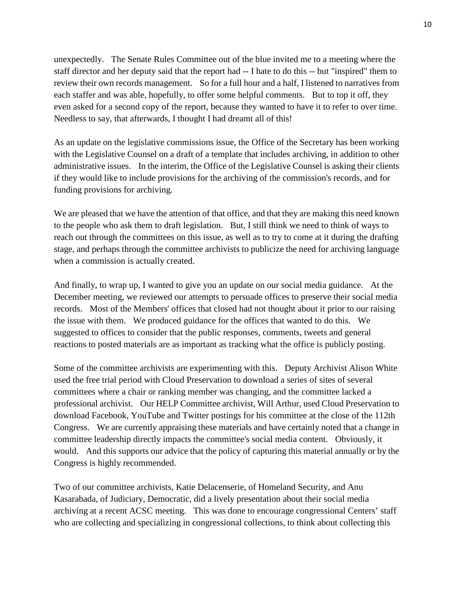unexpectedly. The Senate Rules Committee out of the blue invited me to a meeting where the staff director and her deputy said that the report had -- I hate to do this -- but "inspired" them to review their own records management. So for a full hour and a half, I listened to narratives from each staffer and was able, hopefully, to offer some helpful comments. But to top it off, they even asked for a second copy of the report, because they wanted to have it to refer to over time. Needless to say, that afterwards, I thought I had dreamt all of this!

As an update on the legislative commissions issue, the Office of the Secretary has been working with the Legislative Counsel on a draft of a template that includes archiving, in addition to other administrative issues. In the interim, the Office of the Legislative Counsel is asking their clients if they would like to include provisions for the archiving of the commission's records, and for funding provisions for archiving.

We are pleased that we have the attention of that office, and that they are making this need known to the people who ask them to draft legislation. But, I still think we need to think of ways to reach out through the committees on this issue, as well as to try to come at it during the drafting stage, and perhaps through the committee archivists to publicize the need for archiving language when a commission is actually created.

And finally, to wrap up, I wanted to give you an update on our social media guidance. At the December meeting, we reviewed our attempts to persuade offices to preserve their social media records. Most of the Members' offices that closed had not thought about it prior to our raising the issue with them. We produced guidance for the offices that wanted to do this. We suggested to offices to consider that the public responses, comments, tweets and general reactions to posted materials are as important as tracking what the office is publicly posting.

Some of the committee archivists are experimenting with this. Deputy Archivist Alison White used the free trial period with Cloud Preservation to download a series of sites of several committees where a chair or ranking member was changing, and the committee lacked a professional archivist. Our HELP Committee archivist, Will Arthur, used Cloud Preservation to download Facebook, YouTube and Twitter postings for his committee at the close of the 112th Congress. We are currently appraising these materials and have certainly noted that a change in committee leadership directly impacts the committee's social media content. Obviously, it would. And this supports our advice that the policy of capturing this material annually or by the Congress is highly recommended.

Two of our committee archivists, Katie Delacenserie, of Homeland Security, and Anu Kasarabada, of Judiciary, Democratic, did a lively presentation about their social media archiving at a recent ACSC meeting. This was done to encourage congressional Centers' staff who are collecting and specializing in congressional collections, to think about collecting this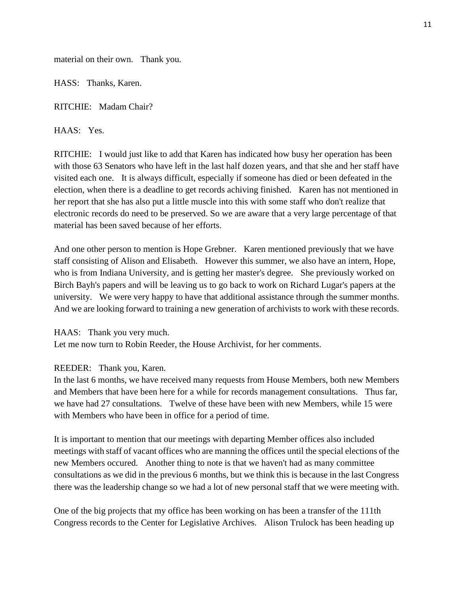material on their own. Thank you.

HASS: Thanks, Karen.

RITCHIE: Madam Chair?

HAAS: Yes.

RITCHIE: I would just like to add that Karen has indicated how busy her operation has been with those 63 Senators who have left in the last half dozen years, and that she and her staff have visited each one. It is always difficult, especially if someone has died or been defeated in the election, when there is a deadline to get records achiving finished. Karen has not mentioned in her report that she has also put a little muscle into this with some staff who don't realize that electronic records do need to be preserved. So we are aware that a very large percentage of that material has been saved because of her efforts.

And one other person to mention is Hope Grebner. Karen mentioned previously that we have staff consisting of Alison and Elisabeth. However this summer, we also have an intern, Hope, who is from Indiana University, and is getting her master's degree. She previously worked on Birch Bayh's papers and will be leaving us to go back to work on Richard Lugar's papers at the university. We were very happy to have that additional assistance through the summer months. And we are looking forward to training a new generation of archivists to work with these records.

HAAS: Thank you very much. Let me now turn to Robin Reeder, the House Archivist, for her comments.

REEDER: Thank you, Karen.

In the last 6 months, we have received many requests from House Members, both new Members and Members that have been here for a while for records management consultations. Thus far, we have had 27 consultations. Twelve of these have been with new Members, while 15 were with Members who have been in office for a period of time.

It is important to mention that our meetings with departing Member offices also included meetings with staff of vacant offices who are manning the offices until the special elections of the new Members occured. Another thing to note is that we haven't had as many committee consultations as we did in the previous 6 months, but we think this is because in the last Congress there was the leadership change so we had a lot of new personal staff that we were meeting with.

One of the big projects that my office has been working on has been a transfer of the 111th Congress records to the Center for Legislative Archives. Alison Trulock has been heading up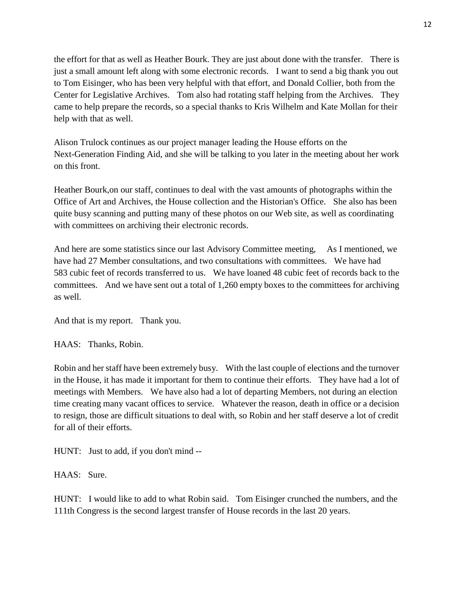the effort for that as well as Heather Bourk. They are just about done with the transfer. There is just a small amount left along with some electronic records. I want to send a big thank you out to Tom Eisinger, who has been very helpful with that effort, and Donald Collier, both from the Center for Legislative Archives. Tom also had rotating staff helping from the Archives. They came to help prepare the records, so a special thanks to Kris Wilhelm and Kate Mollan for their help with that as well.

Alison Trulock continues as our project manager leading the House efforts on the Next-Generation Finding Aid, and she will be talking to you later in the meeting about her work on this front.

Heather Bourk,on our staff, continues to deal with the vast amounts of photographs within the Office of Art and Archives, the House collection and the Historian's Office. She also has been quite busy scanning and putting many of these photos on our Web site, as well as coordinating with committees on archiving their electronic records.

And here are some statistics since our last Advisory Committee meeting, As I mentioned, we have had 27 Member consultations, and two consultations with committees. We have had 583 cubic feet of records transferred to us. We have loaned 48 cubic feet of records back to the committees. And we have sent out a total of 1,260 empty boxes to the committees for archiving as well.

And that is my report. Thank you.

HAAS: Thanks, Robin.

Robin and her staff have been extremely busy. With the last couple of elections and the turnover in the House, it has made it important for them to continue their efforts. They have had a lot of meetings with Members. We have also had a lot of departing Members, not during an election time creating many vacant offices to service. Whatever the reason, death in office or a decision to resign, those are difficult situations to deal with, so Robin and her staff deserve a lot of credit for all of their efforts.

HUNT: Just to add, if you don't mind --

HAAS: Sure.

HUNT: I would like to add to what Robin said. Tom Eisinger crunched the numbers, and the 111th Congress is the second largest transfer of House records in the last 20 years.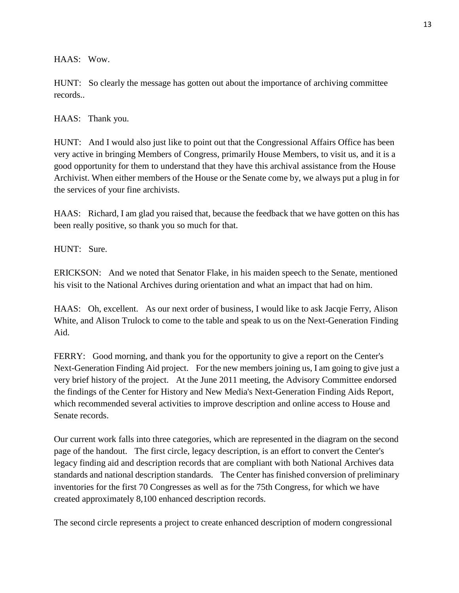HAAS: Wow.

HUNT: So clearly the message has gotten out about the importance of archiving committee records..

HAAS: Thank you.

HUNT: And I would also just like to point out that the Congressional Affairs Office has been very active in bringing Members of Congress, primarily House Members, to visit us, and it is a good opportunity for them to understand that they have this archival assistance from the House Archivist. When either members of the House or the Senate come by, we always put a plug in for the services of your fine archivists.

HAAS: Richard, I am glad you raised that, because the feedback that we have gotten on this has been really positive, so thank you so much for that.

HUNT: Sure.

ERICKSON: And we noted that Senator Flake, in his maiden speech to the Senate, mentioned his visit to the National Archives during orientation and what an impact that had on him.

HAAS: Oh, excellent. As our next order of business, I would like to ask Jacqie Ferry, Alison White, and Alison Trulock to come to the table and speak to us on the Next-Generation Finding Aid.

FERRY: Good morning, and thank you for the opportunity to give a report on the Center's Next-Generation Finding Aid project. For the new members joining us, I am going to give just a very brief history of the project. At the June 2011 meeting, the Advisory Committee endorsed the findings of the Center for History and New Media's Next-Generation Finding Aids Report, which recommended several activities to improve description and online access to House and Senate records.

Our current work falls into three categories, which are represented in the diagram on the second page of the handout. The first circle, legacy description, is an effort to convert the Center's legacy finding aid and description records that are compliant with both National Archives data standards and national description standards. The Center has finished conversion of preliminary inventories for the first 70 Congresses as well as for the 75th Congress, for which we have created approximately 8,100 enhanced description records.

The second circle represents a project to create enhanced description of modern congressional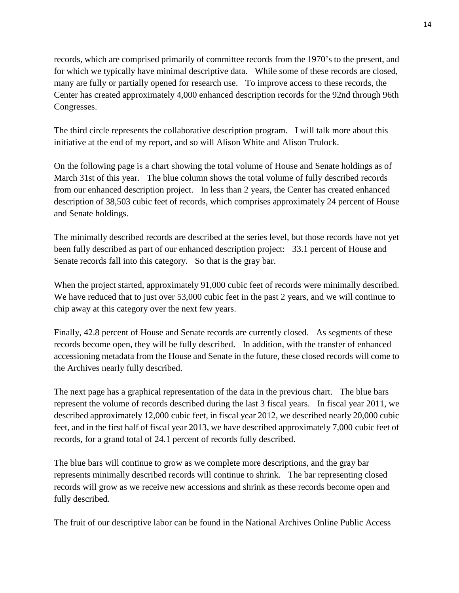records, which are comprised primarily of committee records from the 1970's to the present, and for which we typically have minimal descriptive data. While some of these records are closed, many are fully or partially opened for research use. To improve access to these records, the Center has created approximately 4,000 enhanced description records for the 92nd through 96th Congresses.

The third circle represents the collaborative description program. I will talk more about this initiative at the end of my report, and so will Alison White and Alison Trulock.

On the following page is a chart showing the total volume of House and Senate holdings as of March 31st of this year. The blue column shows the total volume of fully described records from our enhanced description project. In less than 2 years, the Center has created enhanced description of 38,503 cubic feet of records, which comprises approximately 24 percent of House and Senate holdings.

The minimally described records are described at the series level, but those records have not yet been fully described as part of our enhanced description project: 33.1 percent of House and Senate records fall into this category. So that is the gray bar.

When the project started, approximately 91,000 cubic feet of records were minimally described. We have reduced that to just over 53,000 cubic feet in the past 2 years, and we will continue to chip away at this category over the next few years.

Finally, 42.8 percent of House and Senate records are currently closed. As segments of these records become open, they will be fully described. In addition, with the transfer of enhanced accessioning metadata from the House and Senate in the future, these closed records will come to the Archives nearly fully described.

The next page has a graphical representation of the data in the previous chart. The blue bars represent the volume of records described during the last 3 fiscal years. In fiscal year 2011, we described approximately 12,000 cubic feet, in fiscal year 2012, we described nearly 20,000 cubic feet, and in the first half of fiscal year 2013, we have described approximately 7,000 cubic feet of records, for a grand total of 24.1 percent of records fully described.

The blue bars will continue to grow as we complete more descriptions, and the gray bar represents minimally described records will continue to shrink. The bar representing closed records will grow as we receive new accessions and shrink as these records become open and fully described.

The fruit of our descriptive labor can be found in the National Archives Online Public Access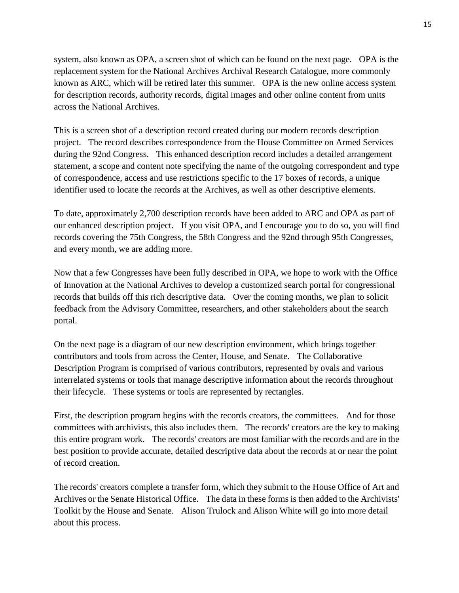system, also known as OPA, a screen shot of which can be found on the next page. OPA is the replacement system for the National Archives Archival Research Catalogue, more commonly known as ARC, which will be retired later this summer. OPA is the new online access system for description records, authority records, digital images and other online content from units across the National Archives.

This is a screen shot of a description record created during our modern records description project. The record describes correspondence from the House Committee on Armed Services during the 92nd Congress. This enhanced description record includes a detailed arrangement statement, a scope and content note specifying the name of the outgoing correspondent and type of correspondence, access and use restrictions specific to the 17 boxes of records, a unique identifier used to locate the records at the Archives, as well as other descriptive elements.

To date, approximately 2,700 description records have been added to ARC and OPA as part of our enhanced description project. If you visit OPA, and I encourage you to do so, you will find records covering the 75th Congress, the 58th Congress and the 92nd through 95th Congresses, and every month, we are adding more.

Now that a few Congresses have been fully described in OPA, we hope to work with the Office of Innovation at the National Archives to develop a customized search portal for congressional records that builds off this rich descriptive data. Over the coming months, we plan to solicit feedback from the Advisory Committee, researchers, and other stakeholders about the search portal.

On the next page is a diagram of our new description environment, which brings together contributors and tools from across the Center, House, and Senate. The Collaborative Description Program is comprised of various contributors, represented by ovals and various interrelated systems or tools that manage descriptive information about the records throughout their lifecycle. These systems or tools are represented by rectangles.

First, the description program begins with the records creators, the committees. And for those committees with archivists, this also includes them. The records' creators are the key to making this entire program work. The records' creators are most familiar with the records and are in the best position to provide accurate, detailed descriptive data about the records at or near the point of record creation.

The records' creators complete a transfer form, which they submit to the House Office of Art and Archives or the Senate Historical Office. The data in these forms is then added to the Archivists' Toolkit by the House and Senate. Alison Trulock and Alison White will go into more detail about this process.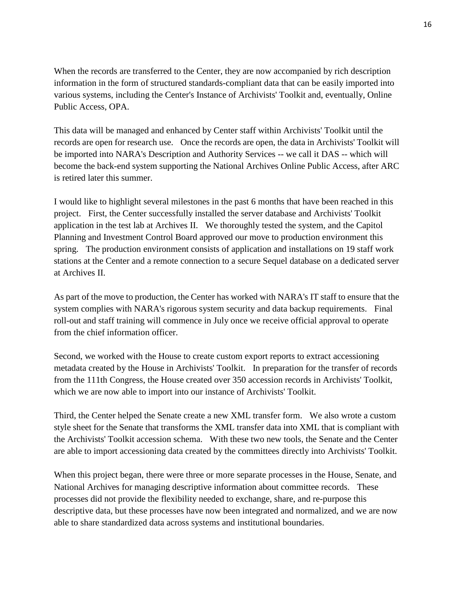When the records are transferred to the Center, they are now accompanied by rich description information in the form of structured standards-compliant data that can be easily imported into various systems, including the Center's Instance of Archivists' Toolkit and, eventually, Online Public Access, OPA.

This data will be managed and enhanced by Center staff within Archivists' Toolkit until the records are open for research use. Once the records are open, the data in Archivists' Toolkit will be imported into NARA's Description and Authority Services -- we call it DAS -- which will become the back-end system supporting the National Archives Online Public Access, after ARC is retired later this summer.

I would like to highlight several milestones in the past 6 months that have been reached in this project. First, the Center successfully installed the server database and Archivists' Toolkit application in the test lab at Archives II. We thoroughly tested the system, and the Capitol Planning and Investment Control Board approved our move to production environment this spring. The production environment consists of application and installations on 19 staff work stations at the Center and a remote connection to a secure Sequel database on a dedicated server at Archives II.

As part of the move to production, the Center has worked with NARA's IT staff to ensure that the system complies with NARA's rigorous system security and data backup requirements. Final roll-out and staff training will commence in July once we receive official approval to operate from the chief information officer.

Second, we worked with the House to create custom export reports to extract accessioning metadata created by the House in Archivists' Toolkit. In preparation for the transfer of records from the 111th Congress, the House created over 350 accession records in Archivists' Toolkit, which we are now able to import into our instance of Archivists' Toolkit.

Third, the Center helped the Senate create a new XML transfer form. We also wrote a custom style sheet for the Senate that transforms the XML transfer data into XML that is compliant with the Archivists' Toolkit accession schema. With these two new tools, the Senate and the Center are able to import accessioning data created by the committees directly into Archivists' Toolkit.

When this project began, there were three or more separate processes in the House, Senate, and National Archives for managing descriptive information about committee records. These processes did not provide the flexibility needed to exchange, share, and re-purpose this descriptive data, but these processes have now been integrated and normalized, and we are now able to share standardized data across systems and institutional boundaries.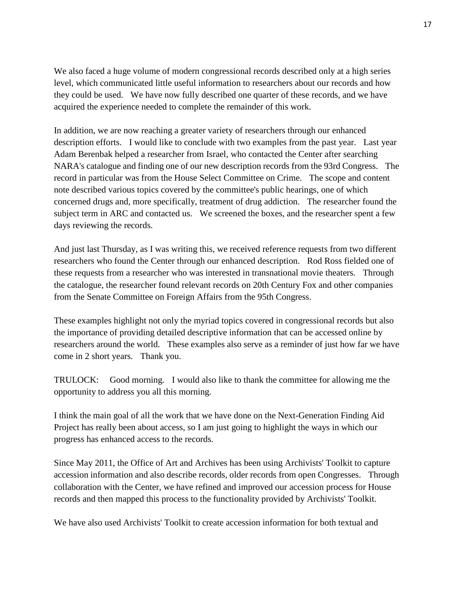We also faced a huge volume of modern congressional records described only at a high series level, which communicated little useful information to researchers about our records and how they could be used. We have now fully described one quarter of these records, and we have acquired the experience needed to complete the remainder of this work.

In addition, we are now reaching a greater variety of researchers through our enhanced description efforts. I would like to conclude with two examples from the past year. Last year Adam Berenbak helped a researcher from Israel, who contacted the Center after searching NARA's catalogue and finding one of our new description records from the 93rd Congress. The record in particular was from the House Select Committee on Crime. The scope and content note described various topics covered by the committee's public hearings, one of which concerned drugs and, more specifically, treatment of drug addiction. The researcher found the subject term in ARC and contacted us. We screened the boxes, and the researcher spent a few days reviewing the records.

And just last Thursday, as I was writing this, we received reference requests from two different researchers who found the Center through our enhanced description. Rod Ross fielded one of these requests from a researcher who was interested in transnational movie theaters. Through the catalogue, the researcher found relevant records on 20th Century Fox and other companies from the Senate Committee on Foreign Affairs from the 95th Congress.

These examples highlight not only the myriad topics covered in congressional records but also the importance of providing detailed descriptive information that can be accessed online by researchers around the world. These examples also serve as a reminder of just how far we have come in 2 short years. Thank you.

TRULOCK: Good morning. I would also like to thank the committee for allowing me the opportunity to address you all this morning.

I think the main goal of all the work that we have done on the Next-Generation Finding Aid Project has really been about access, so I am just going to highlight the ways in which our progress has enhanced access to the records.

Since May 2011, the Office of Art and Archives has been using Archivists' Toolkit to capture accession information and also describe records, older records from open Congresses. Through collaboration with the Center, we have refined and improved our accession process for House records and then mapped this process to the functionality provided by Archivists' Toolkit.

We have also used Archivists' Toolkit to create accession information for both textual and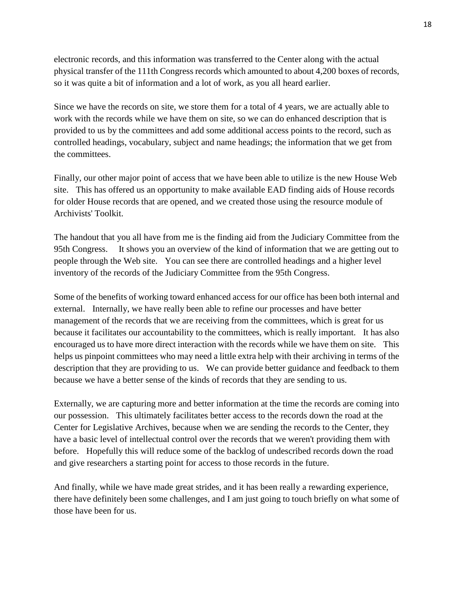electronic records, and this information was transferred to the Center along with the actual physical transfer of the 111th Congress records which amounted to about 4,200 boxes of records, so it was quite a bit of information and a lot of work, as you all heard earlier.

Since we have the records on site, we store them for a total of 4 years, we are actually able to work with the records while we have them on site, so we can do enhanced description that is provided to us by the committees and add some additional access points to the record, such as controlled headings, vocabulary, subject and name headings; the information that we get from the committees.

Finally, our other major point of access that we have been able to utilize is the new House Web site. This has offered us an opportunity to make available EAD finding aids of House records for older House records that are opened, and we created those using the resource module of Archivists' Toolkit.

The handout that you all have from me is the finding aid from the Judiciary Committee from the 95th Congress. It shows you an overview of the kind of information that we are getting out to people through the Web site. You can see there are controlled headings and a higher level inventory of the records of the Judiciary Committee from the 95th Congress.

Some of the benefits of working toward enhanced access for our office has been both internal and external. Internally, we have really been able to refine our processes and have better management of the records that we are receiving from the committees, which is great for us because it facilitates our accountability to the committees, which is really important. It has also encouraged us to have more direct interaction with the records while we have them on site. This helps us pinpoint committees who may need a little extra help with their archiving in terms of the description that they are providing to us. We can provide better guidance and feedback to them because we have a better sense of the kinds of records that they are sending to us.

Externally, we are capturing more and better information at the time the records are coming into our possession. This ultimately facilitates better access to the records down the road at the Center for Legislative Archives, because when we are sending the records to the Center, they have a basic level of intellectual control over the records that we weren't providing them with before. Hopefully this will reduce some of the backlog of undescribed records down the road and give researchers a starting point for access to those records in the future.

And finally, while we have made great strides, and it has been really a rewarding experience, there have definitely been some challenges, and I am just going to touch briefly on what some of those have been for us.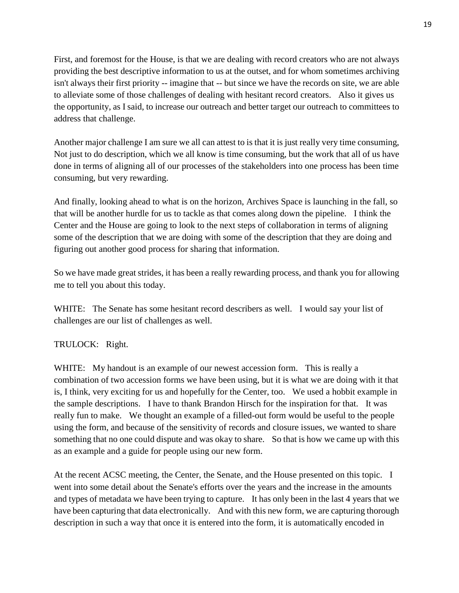First, and foremost for the House, is that we are dealing with record creators who are not always providing the best descriptive information to us at the outset, and for whom sometimes archiving isn't always their first priority -- imagine that -- but since we have the records on site, we are able to alleviate some of those challenges of dealing with hesitant record creators. Also it gives us the opportunity, as I said, to increase our outreach and better target our outreach to committees to address that challenge.

Another major challenge I am sure we all can attest to is that it is just really very time consuming, Not just to do description, which we all know is time consuming, but the work that all of us have done in terms of aligning all of our processes of the stakeholders into one process has been time consuming, but very rewarding.

And finally, looking ahead to what is on the horizon, Archives Space is launching in the fall, so that will be another hurdle for us to tackle as that comes along down the pipeline. I think the Center and the House are going to look to the next steps of collaboration in terms of aligning some of the description that we are doing with some of the description that they are doing and figuring out another good process for sharing that information.

So we have made great strides, it has been a really rewarding process, and thank you for allowing me to tell you about this today.

WHITE: The Senate has some hesitant record describers as well. I would say your list of challenges are our list of challenges as well.

# TRULOCK: Right.

WHITE: My handout is an example of our newest accession form. This is really a combination of two accession forms we have been using, but it is what we are doing with it that is, I think, very exciting for us and hopefully for the Center, too. We used a hobbit example in the sample descriptions. I have to thank Brandon Hirsch for the inspiration for that. It was really fun to make. We thought an example of a filled-out form would be useful to the people using the form, and because of the sensitivity of records and closure issues, we wanted to share something that no one could dispute and was okay to share. So that is how we came up with this as an example and a guide for people using our new form.

At the recent ACSC meeting, the Center, the Senate, and the House presented on this topic. I went into some detail about the Senate's efforts over the years and the increase in the amounts and types of metadata we have been trying to capture. It has only been in the last 4 years that we have been capturing that data electronically. And with this new form, we are capturing thorough description in such a way that once it is entered into the form, it is automatically encoded in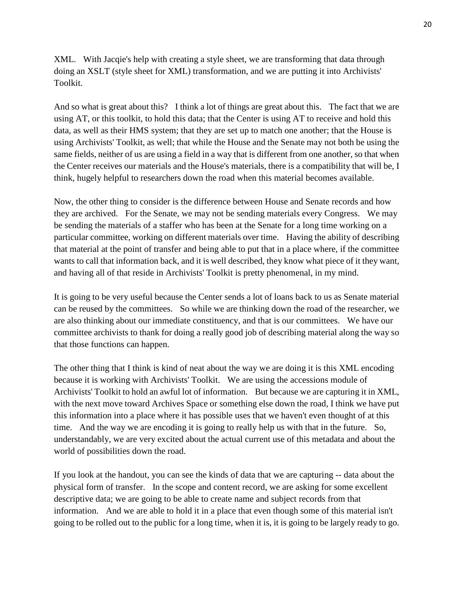XML. With Jacqie's help with creating a style sheet, we are transforming that data through doing an XSLT (style sheet for XML) transformation, and we are putting it into Archivists' Toolkit.

And so what is great about this? I think a lot of things are great about this. The fact that we are using AT, or this toolkit, to hold this data; that the Center is using AT to receive and hold this data, as well as their HMS system; that they are set up to match one another; that the House is using Archivists' Toolkit, as well; that while the House and the Senate may not both be using the same fields, neither of us are using a field in a way that is different from one another, so that when the Center receives our materials and the House's materials, there is a compatibility that will be, I think, hugely helpful to researchers down the road when this material becomes available.

Now, the other thing to consider is the difference between House and Senate records and how they are archived. For the Senate, we may not be sending materials every Congress. We may be sending the materials of a staffer who has been at the Senate for a long time working on a particular committee, working on different materials over time. Having the ability of describing that material at the point of transfer and being able to put that in a place where, if the committee wants to call that information back, and it is well described, they know what piece of it they want, and having all of that reside in Archivists' Toolkit is pretty phenomenal, in my mind.

It is going to be very useful because the Center sends a lot of loans back to us as Senate material can be reused by the committees. So while we are thinking down the road of the researcher, we are also thinking about our immediate constituency, and that is our committees. We have our committee archivists to thank for doing a really good job of describing material along the way so that those functions can happen.

The other thing that I think is kind of neat about the way we are doing it is this XML encoding because it is working with Archivists' Toolkit. We are using the accessions module of Archivists' Toolkit to hold an awful lot of information. But because we are capturing it in XML, with the next move toward Archives Space or something else down the road, I think we have put this information into a place where it has possible uses that we haven't even thought of at this time. And the way we are encoding it is going to really help us with that in the future. So, understandably, we are very excited about the actual current use of this metadata and about the world of possibilities down the road.

If you look at the handout, you can see the kinds of data that we are capturing -- data about the physical form of transfer. In the scope and content record, we are asking for some excellent descriptive data; we are going to be able to create name and subject records from that information. And we are able to hold it in a place that even though some of this material isn't going to be rolled out to the public for a long time, when it is, it is going to be largely ready to go.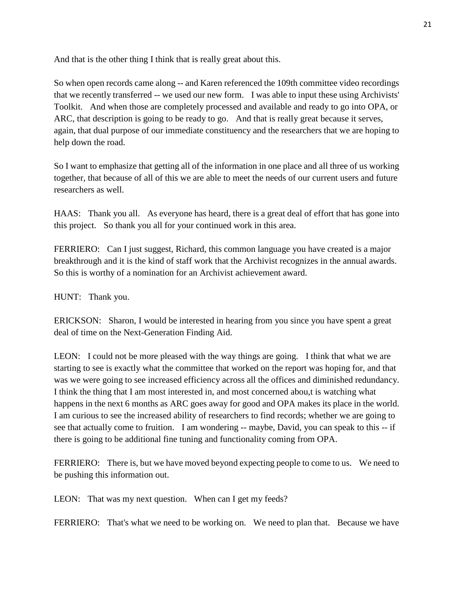And that is the other thing I think that is really great about this.

So when open records came along -- and Karen referenced the 109th committee video recordings that we recently transferred -- we used our new form. I was able to input these using Archivists' Toolkit. And when those are completely processed and available and ready to go into OPA, or ARC, that description is going to be ready to go. And that is really great because it serves, again, that dual purpose of our immediate constituency and the researchers that we are hoping to help down the road.

So I want to emphasize that getting all of the information in one place and all three of us working together, that because of all of this we are able to meet the needs of our current users and future researchers as well.

HAAS: Thank you all. As everyone has heard, there is a great deal of effort that has gone into this project. So thank you all for your continued work in this area.

FERRIERO: Can I just suggest, Richard, this common language you have created is a major breakthrough and it is the kind of staff work that the Archivist recognizes in the annual awards. So this is worthy of a nomination for an Archivist achievement award.

HUNT: Thank you.

ERICKSON: Sharon, I would be interested in hearing from you since you have spent a great deal of time on the Next-Generation Finding Aid.

LEON: I could not be more pleased with the way things are going. I think that what we are starting to see is exactly what the committee that worked on the report was hoping for, and that was we were going to see increased efficiency across all the offices and diminished redundancy. I think the thing that I am most interested in, and most concerned abou,t is watching what happens in the next 6 months as ARC goes away for good and OPA makes its place in the world. I am curious to see the increased ability of researchers to find records; whether we are going to see that actually come to fruition. I am wondering -- maybe, David, you can speak to this -- if there is going to be additional fine tuning and functionality coming from OPA.

FERRIERO: There is, but we have moved beyond expecting people to come to us. We need to be pushing this information out.

LEON: That was my next question. When can I get my feeds?

FERRIERO: That's what we need to be working on. We need to plan that. Because we have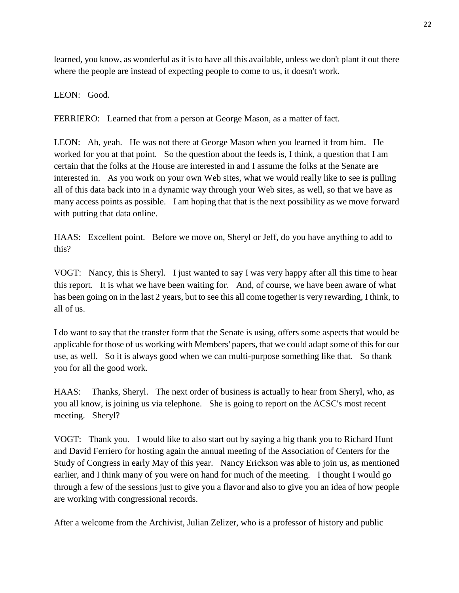learned, you know, as wonderful as it is to have all this available, unless we don't plant it out there where the people are instead of expecting people to come to us, it doesn't work.

LEON: Good.

FERRIERO: Learned that from a person at George Mason, as a matter of fact.

LEON: Ah, yeah. He was not there at George Mason when you learned it from him. He worked for you at that point. So the question about the feeds is, I think, a question that I am certain that the folks at the House are interested in and I assume the folks at the Senate are interested in. As you work on your own Web sites, what we would really like to see is pulling all of this data back into in a dynamic way through your Web sites, as well, so that we have as many access points as possible. I am hoping that that is the next possibility as we move forward with putting that data online.

HAAS: Excellent point. Before we move on, Sheryl or Jeff, do you have anything to add to this?

VOGT: Nancy, this is Sheryl. I just wanted to say I was very happy after all this time to hear this report. It is what we have been waiting for. And, of course, we have been aware of what has been going on in the last 2 years, but to see this all come together is very rewarding, I think, to all of us.

I do want to say that the transfer form that the Senate is using, offers some aspects that would be applicable for those of us working with Members' papers, that we could adapt some of this for our use, as well. So it is always good when we can multi-purpose something like that. So thank you for all the good work.

HAAS: Thanks, Sheryl. The next order of business is actually to hear from Sheryl, who, as you all know, is joining us via telephone. She is going to report on the ACSC's most recent meeting. Sheryl?

VOGT: Thank you. I would like to also start out by saying a big thank you to Richard Hunt and David Ferriero for hosting again the annual meeting of the Association of Centers for the Study of Congress in early May of this year. Nancy Erickson was able to join us, as mentioned earlier, and I think many of you were on hand for much of the meeting. I thought I would go through a few of the sessions just to give you a flavor and also to give you an idea of how people are working with congressional records.

After a welcome from the Archivist, Julian Zelizer, who is a professor of history and public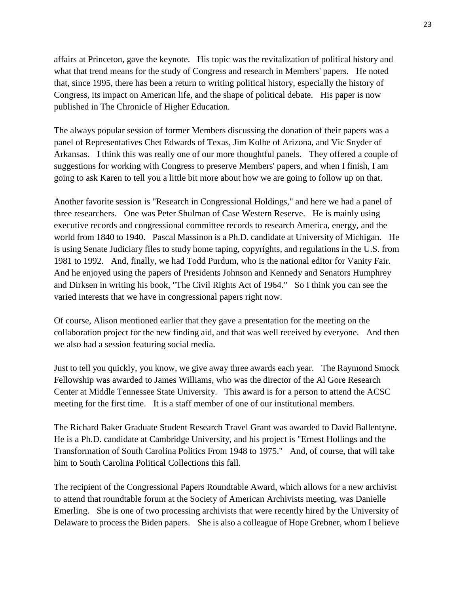affairs at Princeton, gave the keynote. His topic was the revitalization of political history and what that trend means for the study of Congress and research in Members' papers. He noted that, since 1995, there has been a return to writing political history, especially the history of Congress, its impact on American life, and the shape of political debate. His paper is now published in The Chronicle of Higher Education.

The always popular session of former Members discussing the donation of their papers was a panel of Representatives Chet Edwards of Texas, Jim Kolbe of Arizona, and Vic Snyder of Arkansas. I think this was really one of our more thoughtful panels. They offered a couple of suggestions for working with Congress to preserve Members' papers, and when I finish, I am going to ask Karen to tell you a little bit more about how we are going to follow up on that.

Another favorite session is "Research in Congressional Holdings," and here we had a panel of three researchers. One was Peter Shulman of Case Western Reserve. He is mainly using executive records and congressional committee records to research America, energy, and the world from 1840 to 1940. Pascal Massinon is a Ph.D. candidate at University of Michigan. He is using Senate Judiciary files to study home taping, copyrights, and regulations in the U.S. from 1981 to 1992. And, finally, we had Todd Purdum, who is the national editor for Vanity Fair. And he enjoyed using the papers of Presidents Johnson and Kennedy and Senators Humphrey and Dirksen in writing his book, "The Civil Rights Act of 1964." So I think you can see the varied interests that we have in congressional papers right now.

Of course, Alison mentioned earlier that they gave a presentation for the meeting on the collaboration project for the new finding aid, and that was well received by everyone. And then we also had a session featuring social media.

Just to tell you quickly, you know, we give away three awards each year. The Raymond Smock Fellowship was awarded to James Williams, who was the director of the Al Gore Research Center at Middle Tennessee State University. This award is for a person to attend the ACSC meeting for the first time. It is a staff member of one of our institutional members.

The Richard Baker Graduate Student Research Travel Grant was awarded to David Ballentyne. He is a Ph.D. candidate at Cambridge University, and his project is "Ernest Hollings and the Transformation of South Carolina Politics From 1948 to 1975." And, of course, that will take him to South Carolina Political Collections this fall.

The recipient of the Congressional Papers Roundtable Award, which allows for a new archivist to attend that roundtable forum at the Society of American Archivists meeting, was Danielle Emerling. She is one of two processing archivists that were recently hired by the University of Delaware to process the Biden papers. She is also a colleague of Hope Grebner, whom I believe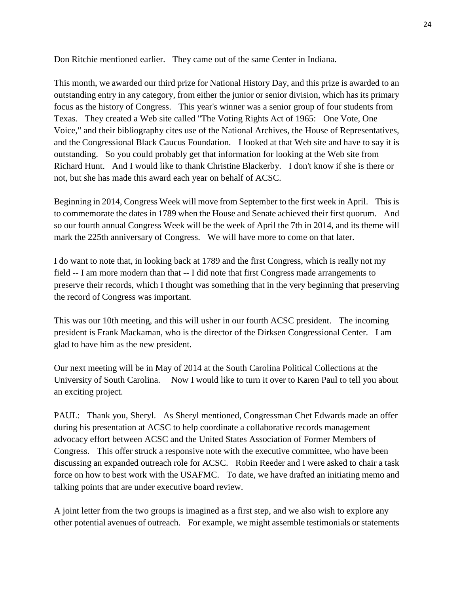Don Ritchie mentioned earlier. They came out of the same Center in Indiana.

This month, we awarded our third prize for National History Day, and this prize is awarded to an outstanding entry in any category, from either the junior or senior division, which has its primary focus as the history of Congress. This year's winner was a senior group of four students from Texas. They created a Web site called "The Voting Rights Act of 1965: One Vote, One Voice," and their bibliography cites use of the National Archives, the House of Representatives, and the Congressional Black Caucus Foundation. I looked at that Web site and have to say it is outstanding. So you could probably get that information for looking at the Web site from Richard Hunt. And I would like to thank Christine Blackerby. I don't know if she is there or not, but she has made this award each year on behalf of ACSC.

Beginning in 2014, Congress Week will move from September to the first week in April. This is to commemorate the dates in 1789 when the House and Senate achieved their first quorum. And so our fourth annual Congress Week will be the week of April the 7th in 2014, and its theme will mark the 225th anniversary of Congress. We will have more to come on that later.

I do want to note that, in looking back at 1789 and the first Congress, which is really not my field -- I am more modern than that -- I did note that first Congress made arrangements to preserve their records, which I thought was something that in the very beginning that preserving the record of Congress was important.

This was our 10th meeting, and this will usher in our fourth ACSC president. The incoming president is Frank Mackaman, who is the director of the Dirksen Congressional Center. I am glad to have him as the new president.

Our next meeting will be in May of 2014 at the South Carolina Political Collections at the University of South Carolina. Now I would like to turn it over to Karen Paul to tell you about an exciting project.

PAUL: Thank you, Sheryl. As Sheryl mentioned, Congressman Chet Edwards made an offer during his presentation at ACSC to help coordinate a collaborative records management advocacy effort between ACSC and the United States Association of Former Members of Congress. This offer struck a responsive note with the executive committee, who have been discussing an expanded outreach role for ACSC. Robin Reeder and I were asked to chair a task force on how to best work with the USAFMC. To date, we have drafted an initiating memo and talking points that are under executive board review.

A joint letter from the two groups is imagined as a first step, and we also wish to explore any other potential avenues of outreach. For example, we might assemble testimonials or statements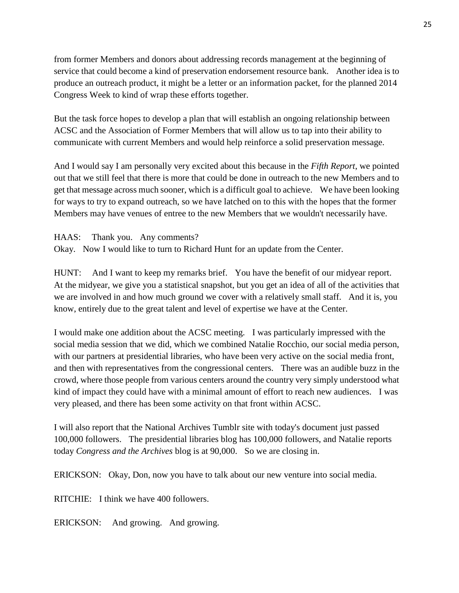from former Members and donors about addressing records management at the beginning of service that could become a kind of preservation endorsement resource bank. Another idea is to produce an outreach product, it might be a letter or an information packet, for the planned 2014 Congress Week to kind of wrap these efforts together.

But the task force hopes to develop a plan that will establish an ongoing relationship between ACSC and the Association of Former Members that will allow us to tap into their ability to communicate with current Members and would help reinforce a solid preservation message.

And I would say I am personally very excited about this because in the *Fifth Report*, we pointed out that we still feel that there is more that could be done in outreach to the new Members and to get that message across much sooner, which is a difficult goal to achieve. We have been looking for ways to try to expand outreach, so we have latched on to this with the hopes that the former Members may have venues of entree to the new Members that we wouldn't necessarily have.

HAAS: Thank you. Any comments?

Okay. Now I would like to turn to Richard Hunt for an update from the Center.

HUNT: And I want to keep my remarks brief. You have the benefit of our midyear report. At the midyear, we give you a statistical snapshot, but you get an idea of all of the activities that we are involved in and how much ground we cover with a relatively small staff. And it is, you know, entirely due to the great talent and level of expertise we have at the Center.

I would make one addition about the ACSC meeting. I was particularly impressed with the social media session that we did, which we combined Natalie Rocchio, our social media person, with our partners at presidential libraries, who have been very active on the social media front, and then with representatives from the congressional centers. There was an audible buzz in the crowd, where those people from various centers around the country very simply understood what kind of impact they could have with a minimal amount of effort to reach new audiences. I was very pleased, and there has been some activity on that front within ACSC.

I will also report that the National Archives Tumblr site with today's document just passed 100,000 followers. The presidential libraries blog has 100,000 followers, and Natalie reports today *Congress and the Archives* blog is at 90,000. So we are closing in.

ERICKSON: Okay, Don, now you have to talk about our new venture into social media.

RITCHIE: I think we have 400 followers.

ERICKSON: And growing. And growing.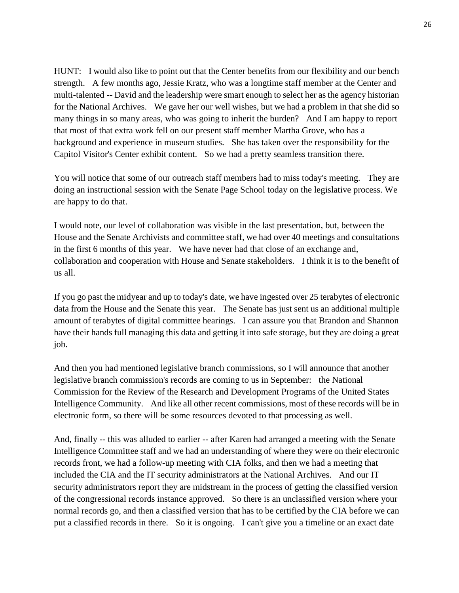HUNT: I would also like to point out that the Center benefits from our flexibility and our bench strength. A few months ago, Jessie Kratz, who was a longtime staff member at the Center and multi-talented -- David and the leadership were smart enough to select her as the agency historian for the National Archives. We gave her our well wishes, but we had a problem in that she did so many things in so many areas, who was going to inherit the burden? And I am happy to report that most of that extra work fell on our present staff member Martha Grove, who has a background and experience in museum studies. She has taken over the responsibility for the Capitol Visitor's Center exhibit content. So we had a pretty seamless transition there.

You will notice that some of our outreach staff members had to miss today's meeting. They are doing an instructional session with the Senate Page School today on the legislative process. We are happy to do that.

I would note, our level of collaboration was visible in the last presentation, but, between the House and the Senate Archivists and committee staff, we had over 40 meetings and consultations in the first 6 months of this year. We have never had that close of an exchange and, collaboration and cooperation with House and Senate stakeholders. I think it is to the benefit of us all.

If you go past the midyear and up to today's date, we have ingested over 25 terabytes of electronic data from the House and the Senate this year. The Senate has just sent us an additional multiple amount of terabytes of digital committee hearings. I can assure you that Brandon and Shannon have their hands full managing this data and getting it into safe storage, but they are doing a great job.

And then you had mentioned legislative branch commissions, so I will announce that another legislative branch commission's records are coming to us in September: the National Commission for the Review of the Research and Development Programs of the United States Intelligence Community. And like all other recent commissions, most of these records will be in electronic form, so there will be some resources devoted to that processing as well.

And, finally -- this was alluded to earlier -- after Karen had arranged a meeting with the Senate Intelligence Committee staff and we had an understanding of where they were on their electronic records front, we had a follow-up meeting with CIA folks, and then we had a meeting that included the CIA and the IT security administrators at the National Archives. And our IT security administrators report they are midstream in the process of getting the classified version of the congressional records instance approved. So there is an unclassified version where your normal records go, and then a classified version that has to be certified by the CIA before we can put a classified records in there. So it is ongoing. I can't give you a timeline or an exact date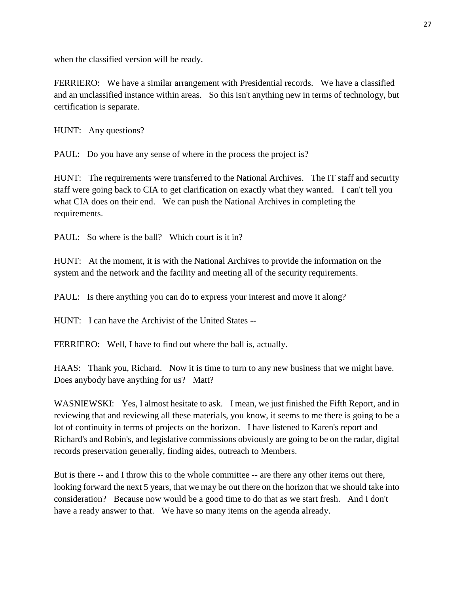when the classified version will be ready.

FERRIERO: We have a similar arrangement with Presidential records. We have a classified and an unclassified instance within areas. So this isn't anything new in terms of technology, but certification is separate.

HUNT: Any questions?

PAUL: Do you have any sense of where in the process the project is?

HUNT: The requirements were transferred to the National Archives. The IT staff and security staff were going back to CIA to get clarification on exactly what they wanted. I can't tell you what CIA does on their end. We can push the National Archives in completing the requirements.

PAUL: So where is the ball? Which court is it in?

HUNT: At the moment, it is with the National Archives to provide the information on the system and the network and the facility and meeting all of the security requirements.

PAUL: Is there anything you can do to express your interest and move it along?

HUNT: I can have the Archivist of the United States --

FERRIERO: Well, I have to find out where the ball is, actually.

HAAS: Thank you, Richard. Now it is time to turn to any new business that we might have. Does anybody have anything for us? Matt?

WASNIEWSKI: Yes, I almost hesitate to ask. I mean, we just finished the Fifth Report, and in reviewing that and reviewing all these materials, you know, it seems to me there is going to be a lot of continuity in terms of projects on the horizon. I have listened to Karen's report and Richard's and Robin's, and legislative commissions obviously are going to be on the radar, digital records preservation generally, finding aides, outreach to Members.

But is there -- and I throw this to the whole committee -- are there any other items out there, looking forward the next 5 years, that we may be out there on the horizon that we should take into consideration? Because now would be a good time to do that as we start fresh. And I don't have a ready answer to that. We have so many items on the agenda already.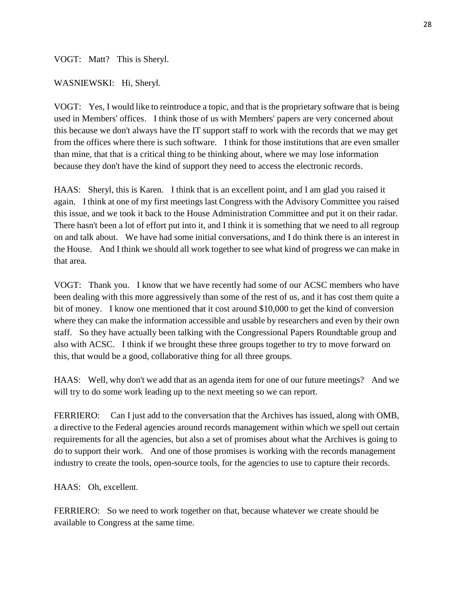### VOGT: Matt? This is Sheryl.

#### WASNIEWSKI: Hi, Sheryl.

VOGT: Yes, I would like to reintroduce a topic, and that is the proprietary software that is being used in Members' offices. I think those of us with Members' papers are very concerned about this because we don't always have the IT support staff to work with the records that we may get from the offices where there is such software. I think for those institutions that are even smaller than mine, that that is a critical thing to be thinking about, where we may lose information because they don't have the kind of support they need to access the electronic records.

HAAS: Sheryl, this is Karen. I think that is an excellent point, and I am glad you raised it again. I think at one of my first meetings last Congress with the Advisory Committee you raised this issue, and we took it back to the House Administration Committee and put it on their radar. There hasn't been a lot of effort put into it, and I think it is something that we need to all regroup on and talk about. We have had some initial conversations, and I do think there is an interest in the House. And I think we should all work together to see what kind of progress we can make in that area.

VOGT: Thank you. I know that we have recently had some of our ACSC members who have been dealing with this more aggressively than some of the rest of us, and it has cost them quite a bit of money. I know one mentioned that it cost around \$10,000 to get the kind of conversion where they can make the information accessible and usable by researchers and even by their own staff. So they have actually been talking with the Congressional Papers Roundtable group and also with ACSC. I think if we brought these three groups together to try to move forward on this, that would be a good, collaborative thing for all three groups.

HAAS: Well, why don't we add that as an agenda item for one of our future meetings? And we will try to do some work leading up to the next meeting so we can report.

FERRIERO: Can I just add to the conversation that the Archives has issued, along with OMB, a directive to the Federal agencies around records management within which we spell out certain requirements for all the agencies, but also a set of promises about what the Archives is going to do to support their work. And one of those promises is working with the records management industry to create the tools, open-source tools, for the agencies to use to capture their records.

HAAS: Oh, excellent.

FERRIERO: So we need to work together on that, because whatever we create should be available to Congress at the same time.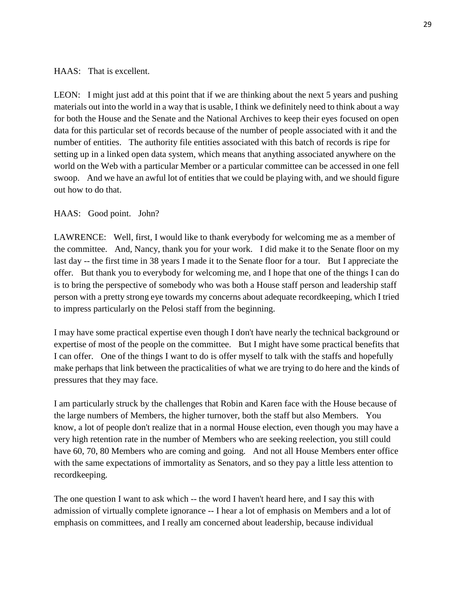### HAAS: That is excellent.

LEON: I might just add at this point that if we are thinking about the next 5 years and pushing materials out into the world in a way that is usable, I think we definitely need to think about a way for both the House and the Senate and the National Archives to keep their eyes focused on open data for this particular set of records because of the number of people associated with it and the number of entities. The authority file entities associated with this batch of records is ripe for setting up in a linked open data system, which means that anything associated anywhere on the world on the Web with a particular Member or a particular committee can be accessed in one fell swoop. And we have an awful lot of entities that we could be playing with, and we should figure out how to do that.

## HAAS: Good point. John?

LAWRENCE: Well, first, I would like to thank everybody for welcoming me as a member of the committee. And, Nancy, thank you for your work. I did make it to the Senate floor on my last day -- the first time in 38 years I made it to the Senate floor for a tour. But I appreciate the offer. But thank you to everybody for welcoming me, and I hope that one of the things I can do is to bring the perspective of somebody who was both a House staff person and leadership staff person with a pretty strong eye towards my concerns about adequate recordkeeping, which I tried to impress particularly on the Pelosi staff from the beginning.

I may have some practical expertise even though I don't have nearly the technical background or expertise of most of the people on the committee. But I might have some practical benefits that I can offer. One of the things I want to do is offer myself to talk with the staffs and hopefully make perhaps that link between the practicalities of what we are trying to do here and the kinds of pressures that they may face.

I am particularly struck by the challenges that Robin and Karen face with the House because of the large numbers of Members, the higher turnover, both the staff but also Members. You know, a lot of people don't realize that in a normal House election, even though you may have a very high retention rate in the number of Members who are seeking reelection, you still could have 60, 70, 80 Members who are coming and going. And not all House Members enter office with the same expectations of immortality as Senators, and so they pay a little less attention to recordkeeping.

The one question I want to ask which -- the word I haven't heard here, and I say this with admission of virtually complete ignorance -- I hear a lot of emphasis on Members and a lot of emphasis on committees, and I really am concerned about leadership, because individual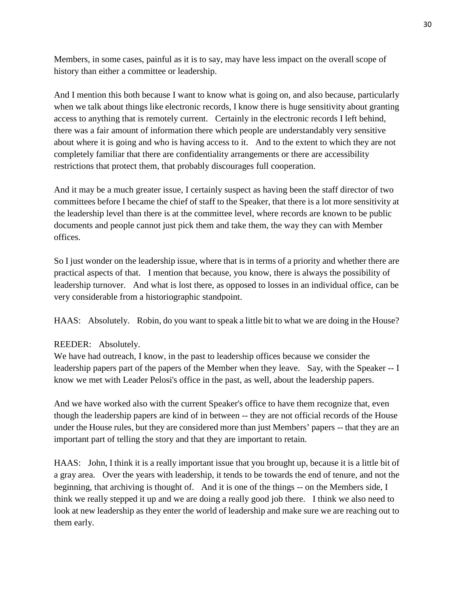Members, in some cases, painful as it is to say, may have less impact on the overall scope of history than either a committee or leadership.

And I mention this both because I want to know what is going on, and also because, particularly when we talk about things like electronic records, I know there is huge sensitivity about granting access to anything that is remotely current. Certainly in the electronic records I left behind, there was a fair amount of information there which people are understandably very sensitive about where it is going and who is having access to it. And to the extent to which they are not completely familiar that there are confidentiality arrangements or there are accessibility restrictions that protect them, that probably discourages full cooperation.

And it may be a much greater issue, I certainly suspect as having been the staff director of two committees before I became the chief of staff to the Speaker, that there is a lot more sensitivity at the leadership level than there is at the committee level, where records are known to be public documents and people cannot just pick them and take them, the way they can with Member offices.

So I just wonder on the leadership issue, where that is in terms of a priority and whether there are practical aspects of that. I mention that because, you know, there is always the possibility of leadership turnover. And what is lost there, as opposed to losses in an individual office, can be very considerable from a historiographic standpoint.

HAAS: Absolutely. Robin, do you want to speak a little bit to what we are doing in the House?

# REEDER: Absolutely.

We have had outreach, I know, in the past to leadership offices because we consider the leadership papers part of the papers of the Member when they leave. Say, with the Speaker -- I know we met with Leader Pelosi's office in the past, as well, about the leadership papers.

And we have worked also with the current Speaker's office to have them recognize that, even though the leadership papers are kind of in between -- they are not official records of the House under the House rules, but they are considered more than just Members' papers -- that they are an important part of telling the story and that they are important to retain.

HAAS: John, I think it is a really important issue that you brought up, because it is a little bit of a gray area. Over the years with leadership, it tends to be towards the end of tenure, and not the beginning, that archiving is thought of. And it is one of the things -- on the Members side, I think we really stepped it up and we are doing a really good job there. I think we also need to look at new leadership as they enter the world of leadership and make sure we are reaching out to them early.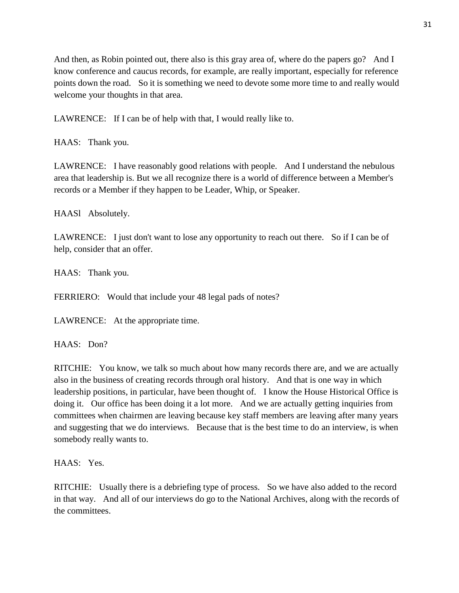And then, as Robin pointed out, there also is this gray area of, where do the papers go? And I know conference and caucus records, for example, are really important, especially for reference points down the road. So it is something we need to devote some more time to and really would welcome your thoughts in that area.

LAWRENCE: If I can be of help with that, I would really like to.

HAAS: Thank you.

LAWRENCE: I have reasonably good relations with people. And I understand the nebulous area that leadership is. But we all recognize there is a world of difference between a Member's records or a Member if they happen to be Leader, Whip, or Speaker.

HAASl Absolutely.

LAWRENCE: I just don't want to lose any opportunity to reach out there. So if I can be of help, consider that an offer.

HAAS: Thank you.

FERRIERO: Would that include your 48 legal pads of notes?

LAWRENCE: At the appropriate time.

HAAS: Don?

RITCHIE: You know, we talk so much about how many records there are, and we are actually also in the business of creating records through oral history. And that is one way in which leadership positions, in particular, have been thought of. I know the House Historical Office is doing it. Our office has been doing it a lot more. And we are actually getting inquiries from committees when chairmen are leaving because key staff members are leaving after many years and suggesting that we do interviews. Because that is the best time to do an interview, is when somebody really wants to.

HAAS: Yes.

RITCHIE: Usually there is a debriefing type of process. So we have also added to the record in that way. And all of our interviews do go to the National Archives, along with the records of the committees.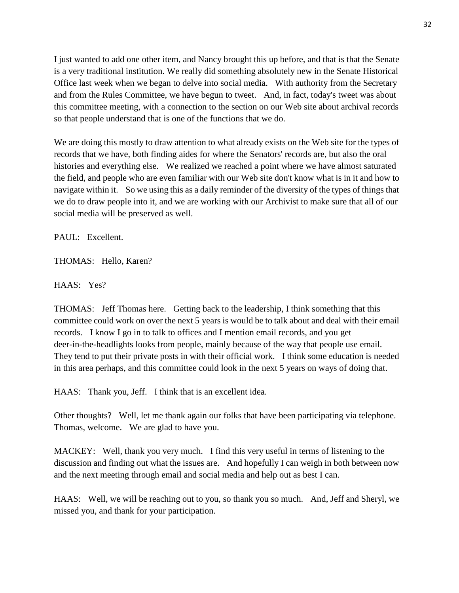I just wanted to add one other item, and Nancy brought this up before, and that is that the Senate is a very traditional institution. We really did something absolutely new in the Senate Historical Office last week when we began to delve into social media. With authority from the Secretary and from the Rules Committee, we have begun to tweet. And, in fact, today's tweet was about this committee meeting, with a connection to the section on our Web site about archival records so that people understand that is one of the functions that we do.

We are doing this mostly to draw attention to what already exists on the Web site for the types of records that we have, both finding aides for where the Senators' records are, but also the oral histories and everything else. We realized we reached a point where we have almost saturated the field, and people who are even familiar with our Web site don't know what is in it and how to navigate within it. So we using this as a daily reminder of the diversity of the types of things that we do to draw people into it, and we are working with our Archivist to make sure that all of our social media will be preserved as well.

PAUL: Excellent.

THOMAS: Hello, Karen?

HAAS: Yes?

THOMAS: Jeff Thomas here. Getting back to the leadership, I think something that this committee could work on over the next 5 years is would be to talk about and deal with their email records. I know I go in to talk to offices and I mention email records, and you get deer-in-the-headlights looks from people, mainly because of the way that people use email. They tend to put their private posts in with their official work. I think some education is needed in this area perhaps, and this committee could look in the next 5 years on ways of doing that.

HAAS: Thank you, Jeff. I think that is an excellent idea.

Other thoughts? Well, let me thank again our folks that have been participating via telephone. Thomas, welcome. We are glad to have you.

MACKEY: Well, thank you very much. I find this very useful in terms of listening to the discussion and finding out what the issues are. And hopefully I can weigh in both between now and the next meeting through email and social media and help out as best I can.

HAAS: Well, we will be reaching out to you, so thank you so much. And, Jeff and Sheryl, we missed you, and thank for your participation.